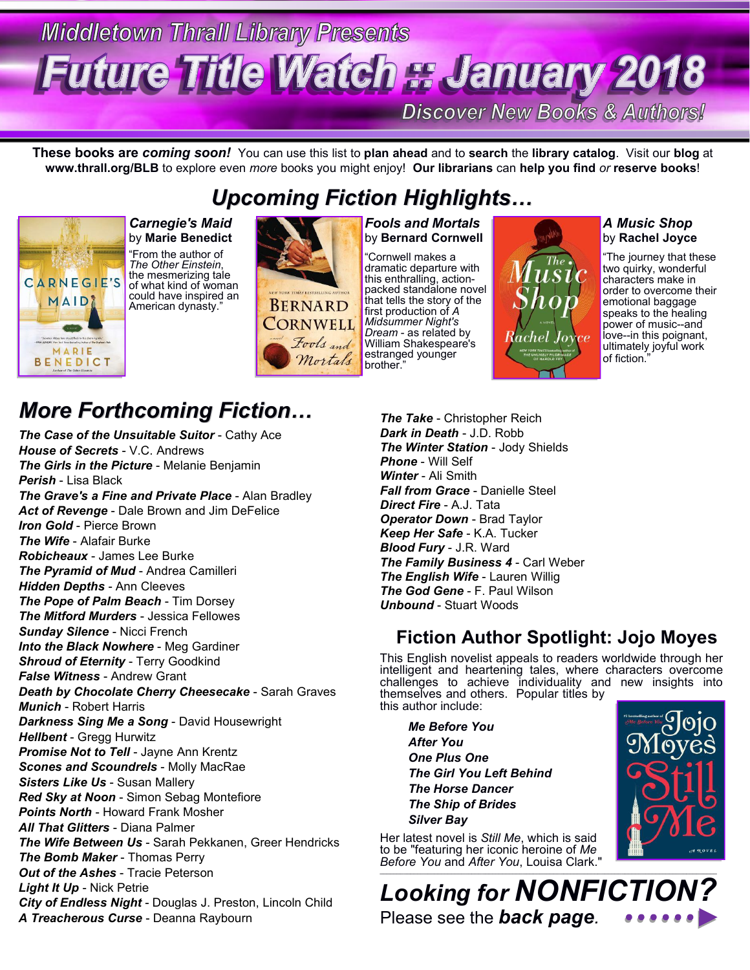# **Middletown Thrall Library Presents Future Title Watch # January 2018**

**Discover New Books & Authors!** 

**These books are** *coming soon!* You can use this listto **plan ahead** and to **search** the **library catalog**. Visit our **blog** at **www.thrall.org/BLB** to explore even *more* books you might enjoy! **Our librarians** can **help you find** *or* **reserve books**!

*Upcoming Fiction Highlights…*



by **Marie Benedict** "From the author of

*The Other Einstein*, the mesmerizing tale of what kind of woman could have inspired an **ERNARD** 



#### **Carnegie's Maid Report Fools and Mortals** by **Bernard Cornwell**

"Cornwell makes a dramatic departure with<br>this enthralling, actionpacked standalone novel that tells the story of the first production of *A Midsummer Night's Dream* - as related by  $\overline{Rack}$   $I\overline{or}$ William Shakespeare's estranged younger brother."



#### *A Music Shop* by **Rachel Joyce**

"The journey that these two quirky, wonderful characters make in order to overcome their emotional baggage speaks to the healing power of music--and love--in this poignant, ultimately joyful work of fiction."

## *More Forthcoming Fiction…*

*The Case of the Unsuitable Suitor* - Cathy Ace *House of Secrets* - V.C. Andrews *The Girls in the Picture* - Melanie Benjamin *Perish* - Lisa Black *The Grave's a Fine and Private Place* - Alan Bradley *Act of Revenge* - Dale Brown and Jim DeFelice *Iron Gold* - Pierce Brown *The Wife* - Alafair Burke *Robicheaux* - James Lee Burke *The Pyramid of Mud* - Andrea Camilleri *Hidden Depths* - Ann Cleeves *The Pope of Palm Beach* - Tim Dorsey *The Mitford Murders* - Jessica Fellowes *Sunday Silence* - Nicci French *Into the Black Nowhere* - Meg Gardiner *Shroud of Eternity* - Terry Goodkind *False Witness* - Andrew Grant *Death by Chocolate Cherry Cheesecake* - Sarah Graves *Munich* - Robert Harris **Darkness Sing Me a Song - David Housewright** *Hellbent* - Gregg Hurwitz *Promise Not to Tell* - Jayne Ann Krentz *Scones and Scoundrels* - Molly MacRae *Sisters Like Us* - Susan Mallery *Red Sky at Noon* - Simon Sebag Montefiore *Points North* - Howard Frank Mosher *All That Glitters* - Diana Palmer *The Wife Between Us* - Sarah Pekkanen, Greer Hendricks *The Bomb Maker* - Thomas Perry *Out of the Ashes* - Tracie Peterson *Light It Up* - Nick Petrie *City of Endless Night* - Douglas J. Preston, Lincoln Child *A Treacherous Curse* - Deanna Raybourn

*The Take* - Christopher Reich *Dark in Death* - J.D. Robb *The Winter Station* - Jody Shields *Phone* - Will Self *Winter* - Ali Smith *Fall from Grace* - Danielle Steel *Direct Fire* - A.J. Tata *Operator Down* - Brad Taylor *Keep Her Safe* - K.A. Tucker *Blood Fury* - J.R. Ward *The Family Business 4 - Carl Weber The English Wife* - Lauren Willig *The God Gene* - F. Paul Wilson *Unbound* - Stuart Woods

### **Fiction Author Spotlight: Jojo Moyes**

This English novelist appeals to readers worldwide through her intelligent and heartening tales, where characters overcome challenges to achieve individuality and new insights into themselves and others. Popular titles by this author include:

*Me Before You After You One Plus One The Girl You Left Behind The Horse Dancer The Ship of Brides Silver Bay*

Her latest novel is *Still Me*, which is said to be "featuring her iconic heroine of *Me Before You* and *After You*, Louisa Clark."



\_\_\_\_\_\_\_\_\_\_\_\_\_\_\_\_\_\_\_\_\_\_\_\_\_\_\_\_\_\_\_\_\_\_\_\_\_\_\_\_\_\_\_\_\_\_\_\_\_\_\_\_\_\_\_\_\_\_\_\_\_\_\_\_\_\_\_\_\_\_\_\_\_\_\_\_\_\_\_\_\_\_\_\_\_\_\_\_\_\_\_\_\_\_\_\_\_\_\_ *Looking for NONFICTIO* Please see the *back page.*